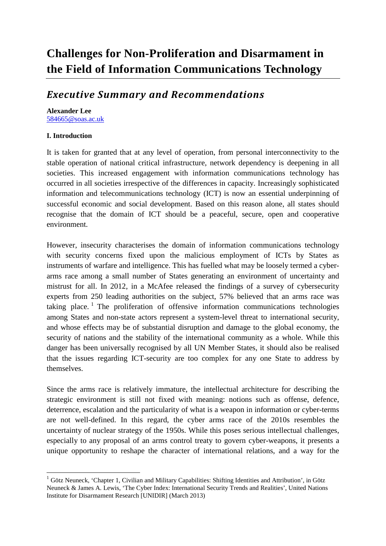# *Executive Summary and Recommendations*

## **Alexander Lee**

[584665@soas.ac.uk](mailto:584665@soas.ac.uk)

#### **I. Introduction**

**.** 

It is taken for granted that at any level of operation, from personal interconnectivity to the stable operation of national critical infrastructure, network dependency is deepening in all societies. This increased engagement with information communications technology has occurred in all societies irrespective of the differences in capacity. Increasingly sophisticated information and telecommunications technology (ICT) is now an essential underpinning of successful economic and social development. Based on this reason alone, all states should recognise that the domain of ICT should be a peaceful, secure, open and cooperative environment.

However, insecurity characterises the domain of information communications technology with security concerns fixed upon the malicious employment of ICTs by States as instruments of warfare and intelligence. This has fuelled what may be loosely termed a cyberarms race among a small number of States generating an environment of uncertainty and mistrust for all. In 2012, in a McAfee released the findings of a survey of cybersecurity experts from 250 leading authorities on the subject, 57% believed that an arms race was taking place.<sup>[1](#page-0-0)</sup> The proliferation of offensive information communications technologies among States and non-state actors represent a system-level threat to international security, and whose effects may be of substantial disruption and damage to the global economy, the security of nations and the stability of the international community as a whole. While this danger has been universally recognised by all UN Member States, it should also be realised that the issues regarding ICT-security are too complex for any one State to address by themselves.

Since the arms race is relatively immature, the intellectual architecture for describing the strategic environment is still not fixed with meaning: notions such as offense, defence, deterrence, escalation and the particularity of what is a weapon in information or cyber-terms are not well-defined. In this regard, the cyber arms race of the 2010s resembles the uncertainty of nuclear strategy of the 1950s. While this poses serious intellectual challenges, especially to any proposal of an arms control treaty to govern cyber-weapons, it presents a unique opportunity to reshape the character of international relations, and a way for the

<span id="page-0-0"></span><sup>1</sup> Götz Neuneck, 'Chapter 1, Civilian and Military Capabilities: Shifting Identities and Attribution', in Götz Neuneck & James A. Lewis, 'The Cyber Index: International Security Trends and Realities', United Nations Institute for Disarmament Research [UNIDIR] (March 2013)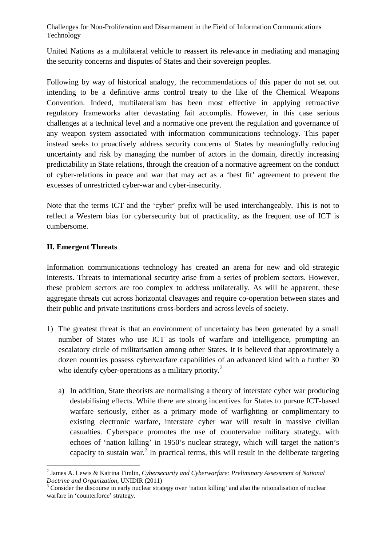United Nations as a multilateral vehicle to reassert its relevance in mediating and managing the security concerns and disputes of States and their sovereign peoples.

Following by way of historical analogy, the recommendations of this paper do not set out intending to be a definitive arms control treaty to the like of the Chemical Weapons Convention. Indeed, multilateralism has been most effective in applying retroactive regulatory frameworks after devastating fait accomplis. However, in this case serious challenges at a technical level and a normative one prevent the regulation and governance of any weapon system associated with information communications technology. This paper instead seeks to proactively address security concerns of States by meaningfully reducing uncertainty and risk by managing the number of actors in the domain, directly increasing predictability in State relations, through the creation of a normative agreement on the conduct of cyber-relations in peace and war that may act as a 'best fit' agreement to prevent the excesses of unrestricted cyber-war and cyber-insecurity.

Note that the terms ICT and the 'cyber' prefix will be used interchangeably. This is not to reflect a Western bias for cybersecurity but of practicality, as the frequent use of ICT is cumbersome.

# **II. Emergent Threats**

Information communications technology has created an arena for new and old strategic interests. Threats to international security arise from a series of problem sectors. However, these problem sectors are too complex to address unilaterally. As will be apparent, these aggregate threats cut across horizontal cleavages and require co-operation between states and their public and private institutions cross-borders and across levels of society.

- 1) The greatest threat is that an environment of uncertainty has been generated by a small number of States who use ICT as tools of warfare and intelligence, prompting an escalatory circle of militarisation among other States. It is believed that approximately a dozen countries possess cyberwarfare capabilities of an advanced kind with a further 30 who identify cyber-operations as a military priority.<sup>[2](#page-1-0)</sup>
	- a) In addition, State theorists are normalising a theory of interstate cyber war producing destabilising effects. While there are strong incentives for States to pursue ICT-based warfare seriously, either as a primary mode of warfighting or complimentary to existing electronic warfare, interstate cyber war will result in massive civilian casualties. Cyberspace promotes the use of countervalue military strategy, with echoes of 'nation killing' in 1950's nuclear strategy, which will target the nation's capacity to sustain war.<sup>[3](#page-1-1)</sup> In practical terms, this will result in the deliberate targeting

<span id="page-1-0"></span><sup>2</sup> James A. Lewis & Katrina Timlin, *Cybersecurity and Cyberwarfare: Preliminary Assessment of National Doctrine and Organization*, UNIDIR (2011)<br><sup>3</sup> Consider the discourse in early nuclear strategy over 'nation killing' and also the rationalisation of nuclear

<span id="page-1-1"></span>warfare in 'counterforce' strategy.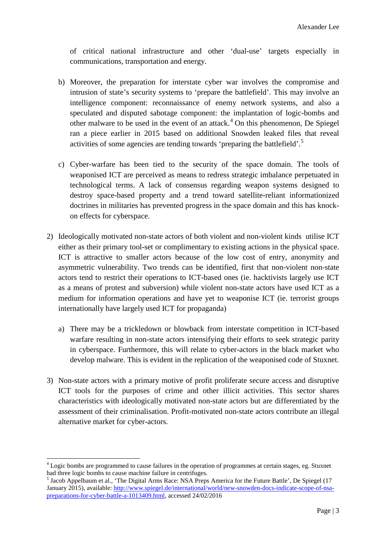of critical national infrastructure and other 'dual-use' targets especially in communications, transportation and energy.

- b) Moreover, the preparation for interstate cyber war involves the compromise and intrusion of state's security systems to 'prepare the battlefield'. This may involve an intelligence component: reconnaissance of enemy network systems, and also a speculated and disputed sabotage component: the implantation of logic-bombs and other malware to be used in the event of an attack.<sup>[4](#page-2-0)</sup> On this phenomenon, De Spiegel ran a piece earlier in 2015 based on additional Snowden leaked files that reveal activities of some agencies are tending towards 'preparing the battlefield'.<sup>[5](#page-2-1)</sup>
- c) Cyber-warfare has been tied to the security of the space domain. The tools of weaponised ICT are perceived as means to redress strategic imbalance perpetuated in technological terms. A lack of consensus regarding weapon systems designed to destroy space-based property and a trend toward satellite-reliant informationized doctrines in militaries has prevented progress in the space domain and this has knockon effects for cyberspace.
- 2) Ideologically motivated non-state actors of both violent and non-violent kinds utilise ICT either as their primary tool-set or complimentary to existing actions in the physical space. ICT is attractive to smaller actors because of the low cost of entry, anonymity and asymmetric vulnerability. Two trends can be identified, first that non-violent non-state actors tend to restrict their operations to ICT-based ones (ie. hacktivists largely use ICT as a means of protest and subversion) while violent non-state actors have used ICT as a medium for information operations and have yet to weaponise ICT (ie. terrorist groups internationally have largely used ICT for propaganda)
	- a) There may be a trickledown or blowback from interstate competition in ICT-based warfare resulting in non-state actors intensifying their efforts to seek strategic parity in cyberspace. Furthermore, this will relate to cyber-actors in the black market who develop malware. This is evident in the replication of the weaponised code of Stuxnet.
- 3) Non-state actors with a primary motive of profit proliferate secure access and disruptive ICT tools for the purposes of crime and other illicit activities. This sector shares characteristics with ideologically motivated non-state actors but are differentiated by the assessment of their criminalisation. Profit-motivated non-state actors contribute an illegal alternative market for cyber-actors.

<span id="page-2-0"></span><sup>&</sup>lt;sup>4</sup> Logic bombs are programmed to cause failures in the operation of programmes at certain stages, eg. Stuxnet had three logic bombs to cause machine failure in centrifuges.

<span id="page-2-1"></span><sup>&</sup>lt;sup>5</sup> Jacob Appelbaum et al., 'The Digital Arms Race: NSA Preps America for the Future Battle', De Spiegel (17 January 2015), available: [http://www.spiegel.de/international/world/new-snowden-docs-indicate-scope-of-nsa](http://www.spiegel.de/international/world/new-snowden-docs-indicate-scope-of-nsa-preparations-for-cyber-battle-a-1013409.html)[preparations-for-cyber-battle-a-1013409.html,](http://www.spiegel.de/international/world/new-snowden-docs-indicate-scope-of-nsa-preparations-for-cyber-battle-a-1013409.html) accessed 24/02/2016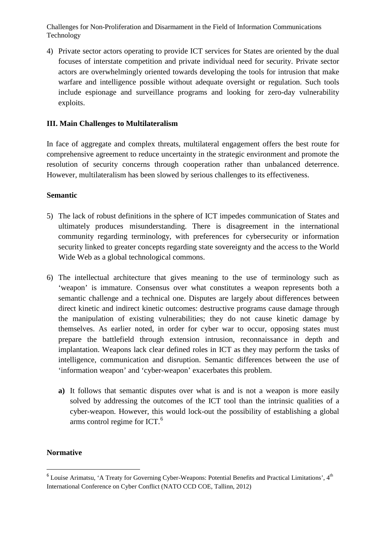4) Private sector actors operating to provide ICT services for States are oriented by the dual focuses of interstate competition and private individual need for security. Private sector actors are overwhelmingly oriented towards developing the tools for intrusion that make warfare and intelligence possible without adequate oversight or regulation. Such tools include espionage and surveillance programs and looking for zero-day vulnerability exploits.

## **III. Main Challenges to Multilateralism**

In face of aggregate and complex threats, multilateral engagement offers the best route for comprehensive agreement to reduce uncertainty in the strategic environment and promote the resolution of security concerns through cooperation rather than unbalanced deterrence. However, multilateralism has been slowed by serious challenges to its effectiveness.

#### **Semantic**

- 5) The lack of robust definitions in the sphere of ICT impedes communication of States and ultimately produces misunderstanding. There is disagreement in the international community regarding terminology, with preferences for cybersecurity or information security linked to greater concepts regarding state sovereignty and the access to the World Wide Web as a global technological commons.
- 6) The intellectual architecture that gives meaning to the use of terminology such as 'weapon' is immature. Consensus over what constitutes a weapon represents both a semantic challenge and a technical one. Disputes are largely about differences between direct kinetic and indirect kinetic outcomes: destructive programs cause damage through the manipulation of existing vulnerabilities; they do not cause kinetic damage by themselves. As earlier noted, in order for cyber war to occur, opposing states must prepare the battlefield through extension intrusion, reconnaissance in depth and implantation. Weapons lack clear defined roles in ICT as they may perform the tasks of intelligence, communication and disruption. Semantic differences between the use of 'information weapon' and 'cyber-weapon' exacerbates this problem.
	- **a)** It follows that semantic disputes over what is and is not a weapon is more easily solved by addressing the outcomes of the ICT tool than the intrinsic qualities of a cyber-weapon. However, this would lock-out the possibility of establishing a global arms control regime for ICT.[6](#page-3-0)

# **Normative**

<span id="page-3-0"></span> $6$  Louise Arimatsu, 'A Treaty for Governing Cyber-Weapons: Potential Benefits and Practical Limitations',  $4<sup>th</sup>$ International Conference on Cyber Conflict (NATO CCD COE, Tallinn, 2012)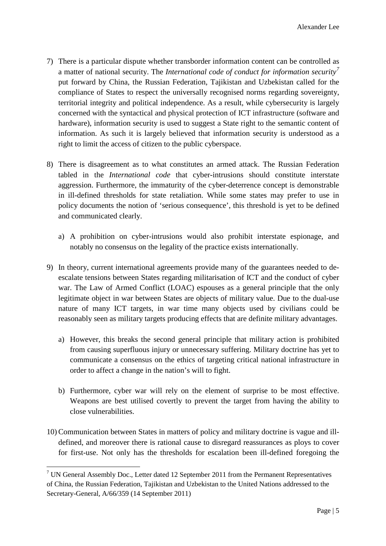- 7) There is a particular dispute whether transborder information content can be controlled as a matter of national security. The *International code of conduct for information security[7](#page-4-0)* put forward by China, the Russian Federation, Tajikistan and Uzbekistan called for the compliance of States to respect the universally recognised norms regarding sovereignty, territorial integrity and political independence. As a result, while cybersecurity is largely concerned with the syntactical and physical protection of ICT infrastructure (software and hardware), information security is used to suggest a State right to the semantic content of information. As such it is largely believed that information security is understood as a right to limit the access of citizen to the public cyberspace.
- 8) There is disagreement as to what constitutes an armed attack. The Russian Federation tabled in the *International code* that cyber-intrusions should constitute interstate aggression. Furthermore, the immaturity of the cyber-deterrence concept is demonstrable in ill-defined thresholds for state retaliation. While some states may prefer to use in policy documents the notion of 'serious consequence', this threshold is yet to be defined and communicated clearly.
	- a) A prohibition on cyber-intrusions would also prohibit interstate espionage, and notably no consensus on the legality of the practice exists internationally.
- 9) In theory, current international agreements provide many of the guarantees needed to deescalate tensions between States regarding militarisation of ICT and the conduct of cyber war. The Law of Armed Conflict (LOAC) espouses as a general principle that the only legitimate object in war between States are objects of military value. Due to the dual-use nature of many ICT targets, in war time many objects used by civilians could be reasonably seen as military targets producing effects that are definite military advantages.
	- a) However, this breaks the second general principle that military action is prohibited from causing superfluous injury or unnecessary suffering. Military doctrine has yet to communicate a consensus on the ethics of targeting critical national infrastructure in order to affect a change in the nation's will to fight.
	- b) Furthermore, cyber war will rely on the element of surprise to be most effective. Weapons are best utilised covertly to prevent the target from having the ability to close vulnerabilities.
- 10) Communication between States in matters of policy and military doctrine is vague and illdefined, and moreover there is rational cause to disregard reassurances as ploys to cover for first-use. Not only has the thresholds for escalation been ill-defined foregoing the

**.** 

<span id="page-4-0"></span><sup>&</sup>lt;sup>7</sup> UN General Assembly Doc., Letter dated 12 September 2011 from the Permanent Representatives of China, the Russian Federation, Tajikistan and Uzbekistan to the United Nations addressed to the Secretary-General, A/66/359 (14 September 2011)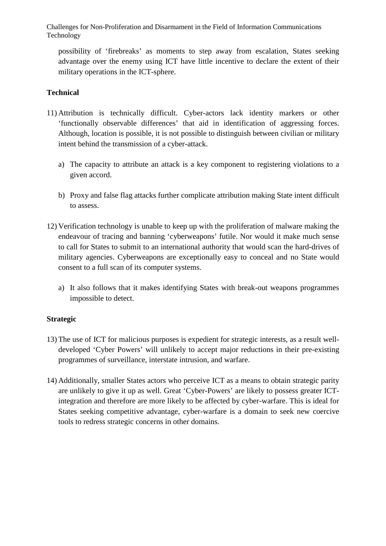possibility of 'firebreaks' as moments to step away from escalation, States seeking advantage over the enemy using ICT have little incentive to declare the extent of their military operations in the ICT-sphere.

# **Technical**

- 11) Attribution is technically difficult. Cyber-actors lack identity markers or other 'functionally observable differences' that aid in identification of aggressing forces. Although, location is possible, it is not possible to distinguish between civilian or military intent behind the transmission of a cyber-attack.
	- a) The capacity to attribute an attack is a key component to registering violations to a given accord.
	- b) Proxy and false flag attacks further complicate attribution making State intent difficult to assess.
- 12) Verification technology is unable to keep up with the proliferation of malware making the endeavour of tracing and banning 'cyberweapons' futile. Nor would it make much sense to call for States to submit to an international authority that would scan the hard-drives of military agencies. Cyberweapons are exceptionally easy to conceal and no State would consent to a full scan of its computer systems.
	- a) It also follows that it makes identifying States with break-out weapons programmes impossible to detect.

#### **Strategic**

- 13) The use of ICT for malicious purposes is expedient for strategic interests, as a result welldeveloped 'Cyber Powers' will unlikely to accept major reductions in their pre-existing programmes of surveillance, interstate intrusion, and warfare.
- 14) Additionally, smaller States actors who perceive ICT as a means to obtain strategic parity are unlikely to give it up as well. Great 'Cyber-Powers' are likely to possess greater ICTintegration and therefore are more likely to be affected by cyber-warfare. This is ideal for States seeking competitive advantage, cyber-warfare is a domain to seek new coercive tools to redress strategic concerns in other domains.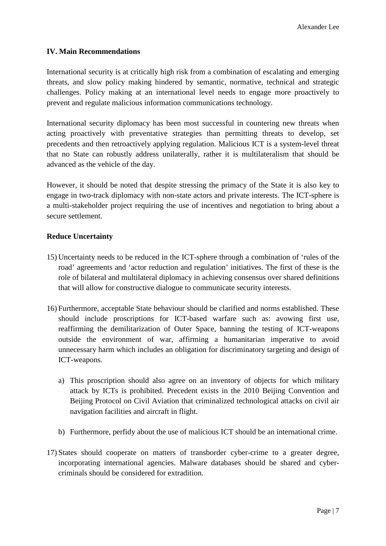# **IV. Main Recommendations**

International security is at critically high risk from a combination of escalating and emerging threats, and slow policy making hindered by semantic, normative, technical and strategic challenges. Policy making at an international level needs to engage more proactively to prevent and regulate malicious information communications technology.

International security diplomacy has been most successful in countering new threats when acting proactively with preventative strategies than permitting threats to develop, set precedents and then retroactively applying regulation. Malicious ICT is a system-level threat that no State can robustly address unilaterally, rather it is multilateralism that should be advanced as the vehicle of the day.

However, it should be noted that despite stressing the primacy of the State it is also key to engage in two-track diplomacy with non-state actors and private interests. The ICT-sphere is a multi-stakeholder project requiring the use of incentives and negotiation to bring about a secure settlement.

# **Reduce Uncertainty**

- 15) Uncertainty needs to be reduced in the ICT-sphere through a combination of 'rules of the road' agreements and 'actor reduction and regulation' initiatives. The first of these is the role of bilateral and multilateral diplomacy in achieving consensus over shared definitions that will allow for constructive dialogue to communicate security interests.
- 16) Furthermore, acceptable State behaviour should be clarified and norms established. These should include proscriptions for ICT-based warfare such as: avowing first use, reaffirming the demilitarization of Outer Space, banning the testing of ICT-weapons outside the environment of war, affirming a humanitarian imperative to avoid unnecessary harm which includes an obligation for discriminatory targeting and design of ICT-weapons.
	- a) This proscription should also agree on an inventory of objects for which military attack by ICTs is prohibited. Precedent exists in the 2010 Beijing Convention and Beijing Protocol on Civil Aviation that criminalized technological attacks on civil air navigation facilities and aircraft in flight.
	- b) Furthermore, perfidy about the use of malicious ICT should be an international crime.
- 17) States should cooperate on matters of transborder cyber-crime to a greater degree, incorporating international agencies. Malware databases should be shared and cybercriminals should be considered for extradition.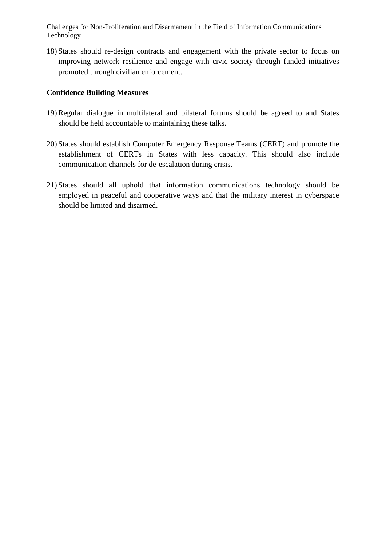18) States should re-design contracts and engagement with the private sector to focus on improving network resilience and engage with civic society through funded initiatives promoted through civilian enforcement.

## **Confidence Building Measures**

- 19) Regular dialogue in multilateral and bilateral forums should be agreed to and States should be held accountable to maintaining these talks.
- 20) States should establish Computer Emergency Response Teams (CERT) and promote the establishment of CERTs in States with less capacity. This should also include communication channels for de-escalation during crisis.
- 21) States should all uphold that information communications technology should be employed in peaceful and cooperative ways and that the military interest in cyberspace should be limited and disarmed.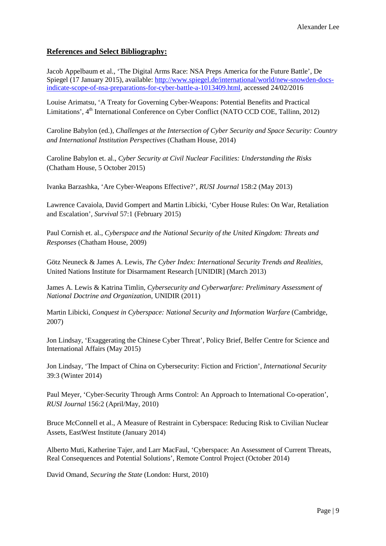#### **References and Select Bibliography:**

Jacob Appelbaum et al., 'The Digital Arms Race: NSA Preps America for the Future Battle', De Spiegel (17 January 2015), available: [http://www.spiegel.de/international/world/new-snowden-docs](http://www.spiegel.de/international/world/new-snowden-docs-indicate-scope-of-nsa-preparations-for-cyber-battle-a-1013409.html)[indicate-scope-of-nsa-preparations-for-cyber-battle-a-1013409.html,](http://www.spiegel.de/international/world/new-snowden-docs-indicate-scope-of-nsa-preparations-for-cyber-battle-a-1013409.html) accessed 24/02/2016

Louise Arimatsu, 'A Treaty for Governing Cyber-Weapons: Potential Benefits and Practical Limitations', 4<sup>th</sup> International Conference on Cyber Conflict (NATO CCD COE, Tallinn, 2012)

Caroline Babylon (ed.), *Challenges at the Intersection of Cyber Security and Space Security: Country and International Institution Perspectives* (Chatham House, 2014)

Caroline Babylon et. al., *Cyber Security at Civil Nuclear Facilities: Understanding the Risks* (Chatham House, 5 October 2015)

Ivanka Barzashka, 'Are Cyber-Weapons Effective?', *RUSI Journal* 158:2 (May 2013)

Lawrence Cavaiola, David Gompert and Martin Libicki, 'Cyber House Rules: On War, Retaliation and Escalation', *Survival* 57:1 (February 2015)

Paul Cornish et. al., *Cyberspace and the National Security of the United Kingdom: Threats and Responses* (Chatham House, 2009)

Götz Neuneck & James A. Lewis, *The Cyber Index: International Security Trends and Realities*, United Nations Institute for Disarmament Research [UNIDIR] (March 2013)

James A. Lewis & Katrina Timlin, *Cybersecurity and Cyberwarfare: Preliminary Assessment of National Doctrine and Organization*, UNIDIR (2011)

Martin Libicki, *Conquest in Cyberspace: National Security and Information Warfare* (Cambridge, 2007)

Jon Lindsay, 'Exaggerating the Chinese Cyber Threat', Policy Brief*,* Belfer Centre for Science and International Affairs (May 2015)

Jon Lindsay, 'The Impact of China on Cybersecurity: Fiction and Friction', *International Security*  39:3 (Winter 2014)

Paul Meyer, 'Cyber-Security Through Arms Control: An Approach to International Co-operation', *RUSI Journal* 156:2 (April/May, 2010)

Bruce McConnell et al., A Measure of Restraint in Cyberspace: Reducing Risk to Civilian Nuclear Assets, EastWest Institute (January 2014)

Alberto Muti, Katherine Tajer, and Larr MacFaul, 'Cyberspace: An Assessment of Current Threats, Real Consequences and Potential Solutions', Remote Control Project (October 2014)

David Omand, *Securing the State* (London: Hurst, 2010)